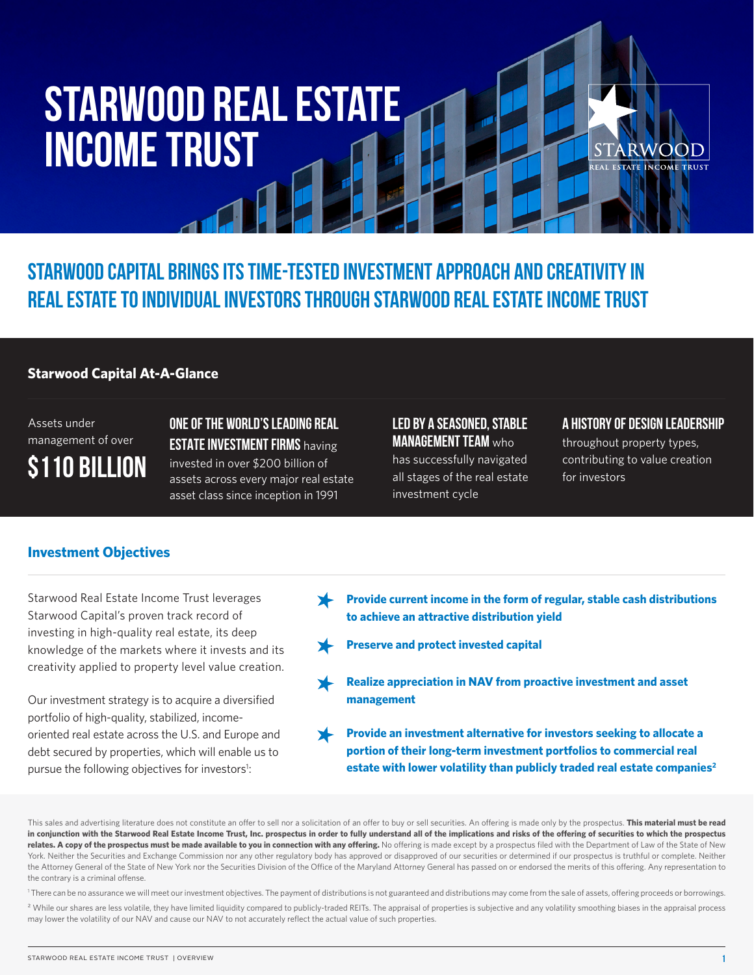# **Starwood Real Estate Income Trust**

FACT SHEET IN THE SHEET IN

**Starwood Capital brings its time-tested investment approach and creativity in real estate to individual investors through Starwood Real Estate Income Trust**

#### **Starwood Capital At-A-Glance**

Assets under management of over **\$110 BILLION** **One of the world's leading real estate investment firms** having invested in over \$200 billion of assets across every major real estate asset class since inception in 1991

#### **Led by a seasoned, stable management team** who

has successfully navigated all stages of the real estate investment cycle

#### **A history of design leadership**

throughout property types, contributing to value creation for investors

#### **Investment Objectives**

Starwood Real Estate Income Trust leverages Starwood Capital's proven track record of investing in high-quality real estate, its deep knowledge of the markets where it invests and its creativity applied to property level value creation.

Our investment strategy is to acquire a diversified portfolio of high-quality, stabilized, incomeoriented real estate across the U.S. and Europe and debt secured by properties, which will enable us to pursue the following objectives for investors<sup>1</sup>:

- **Provide current income in the form of regular, stable cash distributions to achieve an attractive distribution yield**
- **Preserve and protect invested capital**
- **Realize appreciation in NAV from proactive investment and asset management**
- **Provide an investment alternative for investors seeking to allocate a portion of their long-term investment portfolios to commercial real**  estate with lower volatility than publicly traded real estate companies<sup>2</sup>

This sales and advertising literature does not constitute an offer to sell nor a solicitation of an offer to buy or sell securities. An offering is made only by the prospectus. **This material must be read in conjunction with the Starwood Real Estate Income Trust, Inc. prospectus in order to fully understand all of the implications and risks of the offering of securities to which the prospectus**  relates. A copy of the prospectus must be made available to you in connection with any offering. No offering is made except by a prospectus filed with the Department of Law of the State of New York. Neither the Securities and Exchange Commission nor any other regulatory body has approved or disapproved of our securities or determined if our prospectus is truthful or complete. Neither the Attorney General of the State of New York nor the Securities Division of the Office of the Maryland Attorney General has passed on or endorsed the merits of this offering. Any representation to the contrary is a criminal offense.

<sup>1</sup> There can be no assurance we will meet our investment objectives. The payment of distributions is not guaranteed and distributions may come from the sale of assets, offering proceeds or borrowings.

<sup>2</sup> While our shares are less volatile, they have limited liquidity compared to publicly-traded REITs. The appraisal of properties is subjective and any volatility smoothing biases in the appraisal process may lower the volatility of our NAV and cause our NAV to not accurately reflect the actual value of such properties.